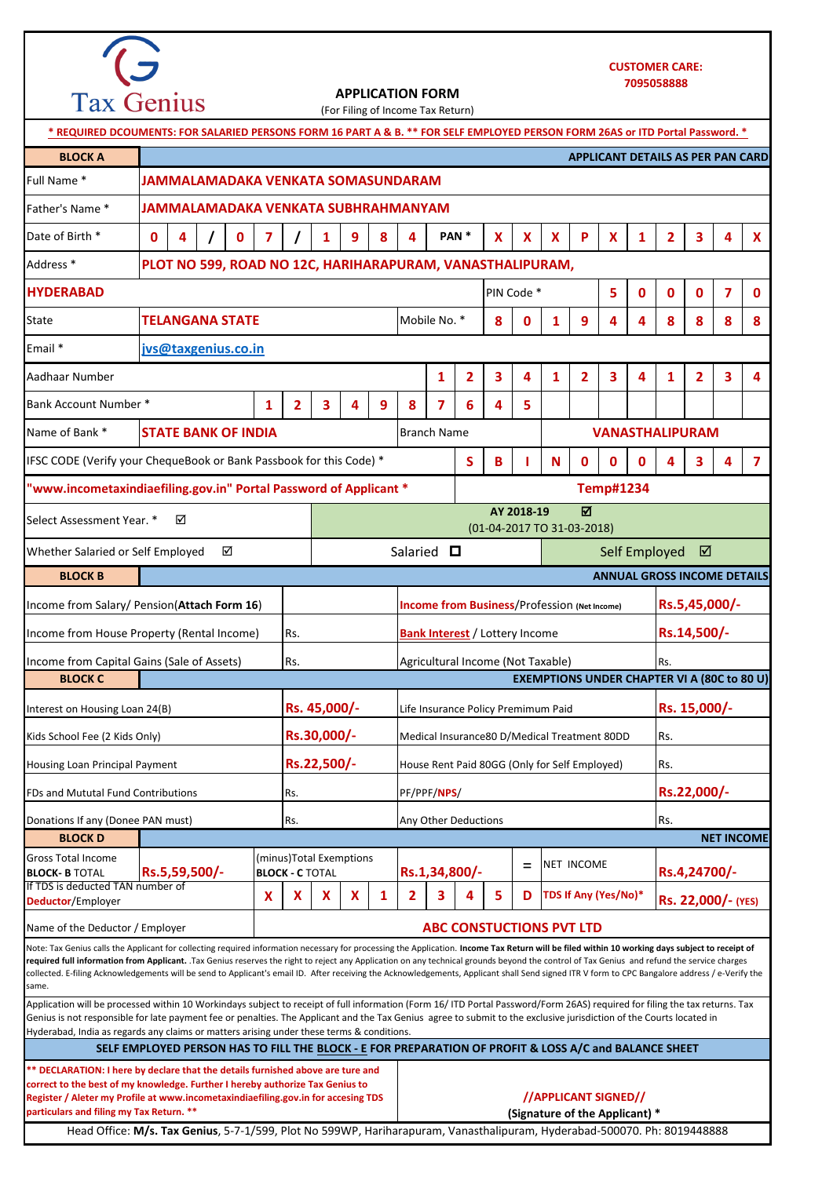

## **APPLICATION FORM**

**0 4 / 0 7 / 1 9 8 4 X X X P X 1 2 3 4 X 5 0 0 0 7 0 8 0 1 9 4 4 8 8 8 8 1 2 3 4 1 2 3 4 1 2 3 4 1 2 3 4 9 8 7 6 4 5 S B I N 0 0 0 4 3 4 7** = **X X X X 1 2 3 4 5 D** Rs. **Rs. 15,000/-**  $S$ alaried  $\square$ **Rs.5,45,000/- Rs.14,500/-** Whether Salaried or Self Employed  $\boxtimes$ Application will be processed within 10 Workindays subject to receipt of full information (Form 16/ ITD Portal Password/Form 26AS) required for filing the tax returns. Tax Genius is not responsible for late payment fee or penalties. The Applicant and the Tax Genius agree to submit to the exclusive jurisdiction of the Courts located in Hyderabad, India as regards any claims or matters arising under these terms & conditions. **BLOCK B**  Agricultural Income (Not Taxable) Interest on Housing Loan 24(B) **Rs. 45,000/-** Life Insurance Policy Premimum Paid Kids School Fee (2 Kids Only) **Rs.30,000/-**Income from House Property (Rental Income) Rs. **Bank Interest** / Lottery Income **ANNUAL GROSS INCOME DETAILS**  Note: Tax Genius calls the Applicant for collecting required information necessary for processing the Application. **Income Tax Return will be filed within 10 working days subject to receipt of**  required full information from Applicant. Tax Genius reserves the right to reject any Application on any technical grounds beyond the control of Tax Genius and refund the service charges collected. E-filing Acknowledgements will be send to Applicant's email ID. After receiving the Acknowledgements, Applicant shall Send signed ITR V form to CPC Bangalore address / e-Verify the same. **\*\* DECLARATION: I here by declare that the details furnished above are ture and correct to the best of my knowledge. Further I hereby authorize Tax Genius to Register / Aleter my Profile at www.incometaxindiaefiling.gov.in for accesing TDS particulars and filing my Tax Return. \*\* //APPLICANT SIGNED// (Signature of the Applicant) \* Rs. 22,000/- (YES) TDS If Any (Yes/No)\* HYDERABAD** PIN Code \* Email \* **[jvs@](mailto:jvs@taxgenius.co.in)taxgenius.co.in** Aadhaar Number Bank Account Number \* Name of Bank \* **STATE BANK OF INDIA Rs.22,000/-** Income from Capital Gains (Sale of Assets) Rs. Select Assessment Year. \* **AY 2018-19**  (01-04-2017 TO 31-03-2018) Housing Loan Principal Payment **Rs.22,500/-** House Rent Paid 80GG (Only for Self Employed) FDs and Mututal Fund Contributions **RS.** PE/PPF/**NPS**/ **BLOCK C EXEMPTIONS UNDER CHAPTER VI A (80C to 80 U)** Rs. Branch Name **VANASTHALIPURAM JAMMALAMADAKA VENKATA SUBHRAHMANYAM** Date of Birth \* **| 0 | 4 | / | 0 | 7 | / | 1 | 9 | 8 | 4 | PAN \*** Address \* **PLOT NO 599, ROAD NO 12C, HARIHARAPURAM, VANASTHALIPURAM, BLOCK A APPLICANT DETAILS AS PER PAN CARD** Father's Name \* (For Filing of Income Tax Return) Full Name \* **JAMMALAMADAKA VENKATA SOMASUNDARAM \* REQUIRED DCOUMENTS: FOR SALARIED PERSONS FORM 16 PART A & B. \*\* FOR SELF EMPLOYED PERSON FORM 26AS or ITD Portal Password. \*** State **TELANGANA STATE** Mobile No. \* If TDS is deducted TAN number of **Deductor**/Employer **BLOCK D NET INCOME** Gross Total Income **BLOCK- B** TOTAL **Rs.5,59,500/-** (minus)Total Exemptions **BLOCK - C** TOTAL **Rs.1,34,800/-**  $\begin{vmatrix} = & \text{if } 1 & \text{if } 0 & \text{if } 0 & \text{if } 0 & \text{if } 0 & \text{if } 0 & \text{if } 0 & \text{if } 0 & \text{if } 0 & \text{if } 0 & \text{if } 0 & \text{if } 0 & \text{if } 0 & \text{if } 0 & \text{if } 0 & \text{if } 0 & \text{if } 0 & \text{if } 0 & \text{if } 0 & \text{if } 0 & \text{if } 0 & \text{if } 0 & \text{$ Medical Insurance80 D/Medical Treatment 80DD Donations If any (Donee PAN must) Rs. Any Other Deductions Rs. Any Other Deductions Rs. NET INCOME Rs. IFSC CODE (Verify your ChequeBook or Bank Passbook for this Code) \* **"www.incometaxindiaefiling.gov.in" Portal Password of Applicant \* Temp#1234** Income from Salary/ Pension(**Attach Form 16**) **Income from Business**/Profession **(Net Income)** Name of the Deductor / Employer **ABC CONSTUCTIONS PVT LTD SELF EMPLOYED PERSON HAS TO FILL THE BLOCK - E FOR PREPARATION OF PROFIT & LOSS A/C and BALANCE SHEET**

Head Office: **M/s. Tax Genius**, 5-7-1/599, Plot No 599WP, Hariharapuram, Vanasthalipuram, Hyderabad-500070. Ph: 8019448888